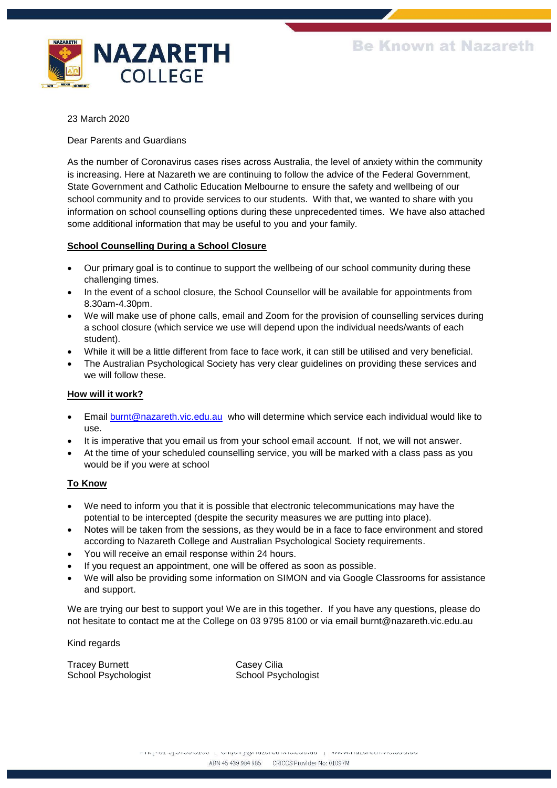

23 March 2020

Dear Parents and Guardians

As the number of Coronavirus cases rises across Australia, the level of anxiety within the community is increasing. Here at Nazareth we are continuing to follow the advice of the Federal Government, State Government and Catholic Education Melbourne to ensure the safety and wellbeing of our school community and to provide services to our students. With that, we wanted to share with you information on school counselling options during these unprecedented times. We have also attached some additional information that may be useful to you and your family.

# **School Counselling During a School Closure**

- Our primary goal is to continue to support the wellbeing of our school community during these challenging times.
- In the event of a school closure, the School Counsellor will be available for appointments from 8.30am-4.30pm.
- We will make use of phone calls, email and Zoom for the provision of counselling services during a school closure (which service we use will depend upon the individual needs/wants of each student).
- While it will be a little different from face to face work, it can still be utilised and very beneficial.
- The Australian Psychological Society has very clear guidelines on providing these services and we will follow these.

# **How will it work?**

- Email [burnt@nazareth.vic.edu.au](mailto:burnt@nazareth.vic.edu.au) who will determine which service each individual would like to use.
- It is imperative that you email us from your school email account. If not, we will not answer.
- At the time of your scheduled counselling service, you will be marked with a class pass as you would be if you were at school

# **To Know**

- We need to inform you that it is possible that electronic telecommunications may have the potential to be intercepted (despite the security measures we are putting into place).
- Notes will be taken from the sessions, as they would be in a face to face environment and stored according to Nazareth College and Australian Psychological Society requirements.
- You will receive an email response within 24 hours.
- If you request an appointment, one will be offered as soon as possible.
- We will also be providing some information on SIMON and via Google Classrooms for assistance and support.

We are trying our best to support you! We are in this together. If you have any questions, please do not hesitate to contact me at the College on 03 9795 8100 or via email burnt@nazareth.vic.edu.au

Kind regards

Tracey Burnett Casey Cilia

School Psychologist School Psychologist

THE R. P. LEWIS CO., LANSING MICH. 49-14039-1-120-2